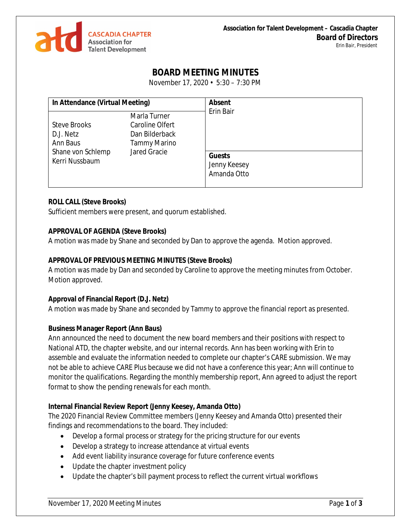# **BOARD MEETING MINUTES**

November 17, 2020 • 5:30 – 7:30 PM

| In Attendance (Virtual Meeting)                                                     |                                                                                          | <b>Absent</b>                                             |
|-------------------------------------------------------------------------------------|------------------------------------------------------------------------------------------|-----------------------------------------------------------|
| <b>Steve Brooks</b><br>D.J. Netz<br>Ann Baus<br>Shane von Schlemp<br>Kerri Nussbaum | Marla Turner<br>Caroline Olfert<br>Dan Bilderback<br><b>Tammy Marino</b><br>Jared Gracie | Erin Bair<br><b>Guests</b><br>Jenny Keesey<br>Amanda Otto |

# **ROLL CALL (Steve Brooks)**

Sufficient members were present, and quorum established.

## **APPROVAL OF AGENDA (Steve Brooks)**

A motion was made by Shane and seconded by Dan to approve the agenda. Motion approved.

## **APPROVAL OF PREVIOUS MEETING MINUTES (Steve Brooks)**

A motion was made by Dan and seconded by Caroline to approve the meeting minutes from October. Motion approved.

## **Approval of Financial Report (D.J. Netz)**

A motion was made by Shane and seconded by Tammy to approve the financial report as presented.

## **Business Manager Report (Ann Baus)**

Ann announced the need to document the new board members and their positions with respect to National ATD, the chapter website, and our internal records. Ann has been working with Erin to assemble and evaluate the information needed to complete our chapter's CARE submission. We may not be able to achieve CARE Plus because we did not have a conference this year; Ann will continue to monitor the qualifications. Regarding the monthly membership report, Ann agreed to adjust the report format to show the pending renewals for each month.

## **Internal Financial Review Report (Jenny Keesey, Amanda Otto)**

The 2020 Financial Review Committee members (Jenny Keesey and Amanda Otto) presented their findings and recommendations to the board. They included:

- Develop a formal process or strategy for the pricing structure for our events
- Develop a strategy to increase attendance at virtual events
- Add event liability insurance coverage for future conference events
- Update the chapter investment policy
- Update the chapter's bill payment process to reflect the current virtual workflows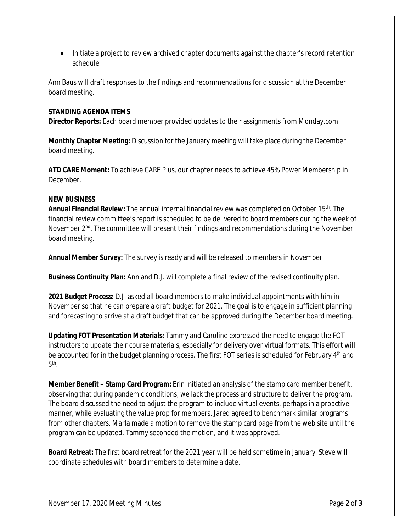• Initiate a project to review archived chapter documents against the chapter's record retention schedule

Ann Baus will draft responses to the findings and recommendations for discussion at the December board meeting.

#### **STANDING AGENDA ITEMS**

**Director Reports:** Each board member provided updates to their assignments from Monday.com.

**Monthly Chapter Meeting:** Discussion for the January meeting will take place during the December board meeting.

**ATD CARE Moment:** To achieve CARE Plus, our chapter needs to achieve 45% Power Membership in December.

#### **NEW BUSINESS**

**Annual Financial Review:** The annual internal financial review was completed on October 15th. The financial review committee's report is scheduled to be delivered to board members during the week of November 2<sup>nd</sup>. The committee will present their findings and recommendations during the November board meeting.

**Annual Member Survey:** The survey is ready and will be released to members in November.

**Business Continuity Plan:** Ann and D.J. will complete a final review of the revised continuity plan.

**2021 Budget Process:** D.J. asked all board members to make individual appointments with him in November so that he can prepare a draft budget for 2021. The goal is to engage in sufficient planning and forecasting to arrive at a draft budget that can be approved during the December board meeting.

**Updating FOT Presentation Materials:** Tammy and Caroline expressed the need to engage the FOT instructors to update their course materials, especially for delivery over virtual formats. This effort will be accounted for in the budget planning process. The first FOT series is scheduled for February 4<sup>th</sup> and  $5^{\text{th}}$ .

**Member Benefit – Stamp Card Program:** Erin initiated an analysis of the stamp card member benefit, observing that during pandemic conditions, we lack the process and structure to deliver the program. The board discussed the need to adjust the program to include virtual events, perhaps in a proactive manner, while evaluating the value prop for members. Jared agreed to benchmark similar programs from other chapters. Marla made a motion to remove the stamp card page from the web site until the program can be updated. Tammy seconded the motion, and it was approved.

**Board Retreat:** The first board retreat for the 2021 year will be held sometime in January. Steve will coordinate schedules with board members to determine a date.